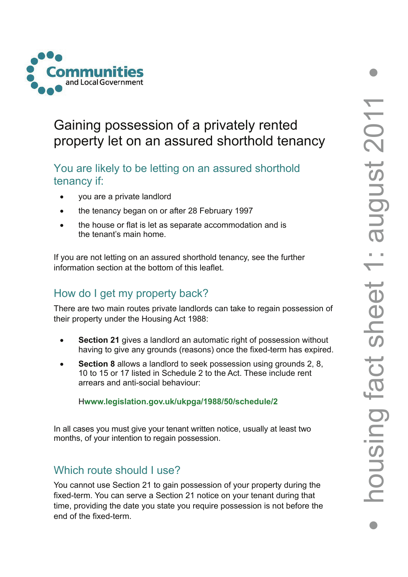

# Gaining possession of a privately rented property let on an assured shorthold tenancy

# You are likely to be letting on an assured shorthold tenancy if:

- you are a private landlord
- the tenancy began on or after 28 February 1997
- the house or flat is let as separate accommodation and is the tenant's main home.

If you are not letting on an assured shorthold tenancy, see the further information section at the bottom of this leaflet.

# How do I get my property back?

There are two main routes private landlords can take to regain possession of their property under the Housing Act 1988:

- **Section 21** gives a landlord an automatic right of possession without having to give any grounds (reasons) once the fixed-term has expired.
- **Section 8** allows a landlord to seek possession using grounds 2, 8, 10 to 15 or 17 listed in Schedule 2 to the Act. These include rent arrears and anti-social behaviour:

H**www.legislation.gov.uk/ukpga/1988/50/schedule/2**

In all cases you must give your tenant written notice, usually at least two months, of your intention to regain possession.

# Which route should Luse?

You cannot use Section 21 to gain possession of your property during the fixed-term. You can serve a Section 21 notice on your tenant during that time, providing the date you state you require possession is not before the end of the fixed-term.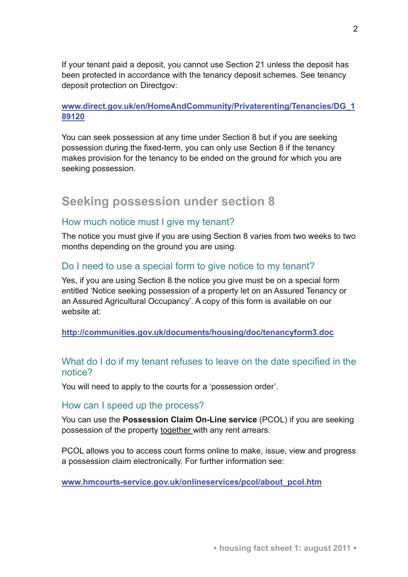If your tenant paid a deposit, you cannot use Section 21 unless the deposit has been protected in accordance with the tenancy deposit schemes. See tenancy deposit protection on Directgov:

### **[www.direct.gov.uk/en/HomeAndCommunity/Privaterenting/Tenancies/DG\\_1](www.direct.gov.uk/en/HomeAndCommunity/Privaterenting/Tenancies/DG_189120) [89120](www.direct.gov.uk/en/HomeAndCommunity/Privaterenting/Tenancies/DG_189120)**

You can seek possession at any time under Section 8 but if you are seeking possession during the fixed-term, you can only use Section 8 if the tenancy makes provision for the tenancy to be ended on the ground for which you are seeking possession.

## **Seeking possession under section 8**

### How much notice must I give my tenant?

The notice you must give if you are using Section 8 varies from two weeks to two months depending on the ground you are using.

### Do I need to use a special form to give notice to my tenant?

Yes, if you are using Section 8 the notice you give must be on a special form entitled 'Notice seeking possession of a property let on an Assured Tenancy or an Assured Agricultural Occupancy'. A copy of this form is available on our website at:

**<http://communities.gov.uk/documents/housing/doc/tenancyform3.doc>**

### What do I do if my tenant refuses to leave on the date specified in the notice?

You will need to apply to the courts for a 'possession order'.

#### How can I speed up the process?

You can use the **Possession Claim On-Line service** (PCOL) if you are seeking possession of the property together with any rent arrears.

PCOL allows you to access court forms online to make, issue, view and progress a possession claim electronically. For further information see:

**[www.hmcourts-service.gov.uk/onlineservices/pcol/about\\_pcol.htm](www.hmcourts-service.gov.uk/onlineservices/pcol/about_pcol.htm)**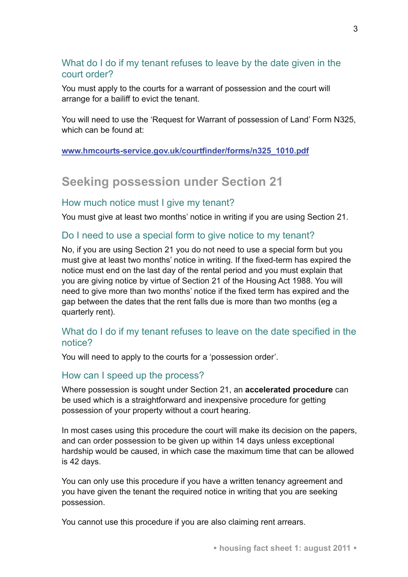## What do I do if my tenant refuses to leave by the date given in the court order?

You must apply to the courts for a warrant of possession and the court will arrange for a bailiff to evict the tenant.

You will need to use the 'Request for Warrant of possession of Land' Form N325, which can be found at:

### **[www.hmcourts-service.gov.uk/courtfinder/forms/n325\\_1010.pdf](www.hmcourts-service.gov.uk/courtfinder/forms/n325_1010.pdf)**

# **Seeking possession under Section 21**

### How much notice must I give my tenant?

You must give at least two months' notice in writing if you are using Section 21.

### Do I need to use a special form to give notice to my tenant?

No, if you are using Section 21 you do not need to use a special form but you must give at least two months' notice in writing. If the fixed-term has expired the notice must end on the last day of the rental period and you must explain that you are giving notice by virtue of Section 21 of the Housing Act 1988. You will need to give more than two months' notice if the fixed term has expired and the gap between the dates that the rent falls due is more than two months (eg a quarterly rent).

### What do I do if my tenant refuses to leave on the date specified in the notice?

You will need to apply to the courts for a 'possession order'.

### How can I speed up the process?

Where possession is sought under Section 21, an **accelerated procedure** can be used which is a straightforward and inexpensive procedure for getting possession of your property without a court hearing.

In most cases using this procedure the court will make its decision on the papers, and can order possession to be given up within 14 days unless exceptional hardship would be caused, in which case the maximum time that can be allowed is 42 days.

You can only use this procedure if you have a written tenancy agreement and you have given the tenant the required notice in writing that you are seeking possession.

You cannot use this procedure if you are also claiming rent arrears.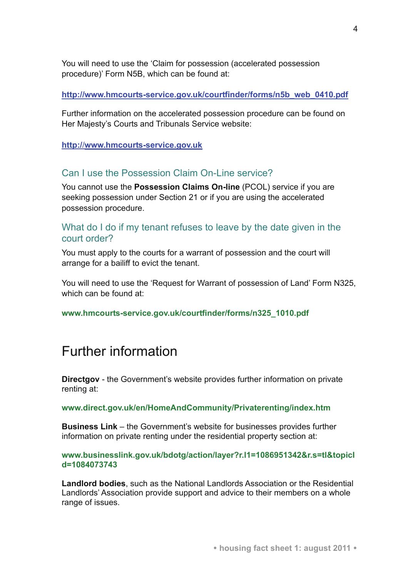You will need to use the 'Claim for possession (accelerated possession procedure)' Form N5B, which can be found at:

#### **[http://www.hmcourts-service.gov.uk/courtfinder/forms/n5b\\_web\\_0410.pdf](http://www.hmcourts-service.gov.uk/courtfinder/forms/n5b_web_0410.pdf)**

Further information on the accelerated possession procedure can be found on Her Majesty's Courts and Tribunals Service website:

#### **http:/**/**[www.hmcourts-service.gov.uk](http://www.hmcourts-service.gov.uk/)**

### [Can I](http://www.hmcourts-service.gov.uk/) use the Possession Claim On-Line service?

You cannot use the **Possession Claims On-line** (PCOL) service if you are seeking possession under Section 21 or if you are using the accelerated possession procedure.

### What do I do if my tenant refuses to leave by the date given in the court order?

You must apply to the courts for a warrant of possession and the court will arrange for a bailiff to evict the tenant.

You will need to use the 'Request for Warrant of possession of Land' Form N325, which can be found at:

**[www.hmcourts-service.gov.uk/courtfinder/forms/n325\\_1010.pdf](http://www.hmcourts-service.gov.uk/courtfinder/forms/n325_1010.pdf)** 

# Further information

**Directgov** - the Government's website provides further information on private renting at:

**[www.direct.gov.uk/en/HomeAndCommunity/Privaterenting/index.htm](http://www.direct.gov.uk/en/HomeAndCommunity/Privaterenting/index.htm)** 

**Business Link** – the Government's website for businesses provides further information on private renting under the residential property section at:

**[www.businesslink.gov.uk/bdotg/action/layer?r.l1=1086951342&r.s=tl&topicI](http://www.businesslink.gov.uk/bdotg/action/layer?r.l1=1086951342&r.s=tl&topicId=1084073743) [d=1084073743](http://www.businesslink.gov.uk/bdotg/action/layer?r.l1=1086951342&r.s=tl&topicId=1084073743)** 

**Landlord bodies**, such as the National Landlords Association or the Residential Landlords' Association provide support and advice to their members on a whole range of issues.